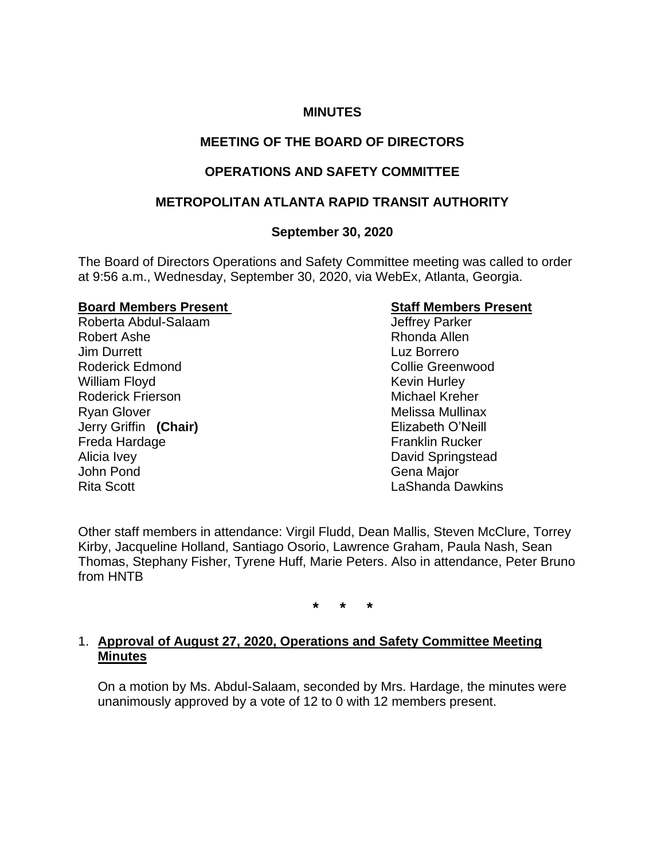# **MINUTES**

# **MEETING OF THE BOARD OF DIRECTORS**

# **OPERATIONS AND SAFETY COMMITTEE**

#### **METROPOLITAN ATLANTA RAPID TRANSIT AUTHORITY**

#### **September 30, 2020**

The Board of Directors Operations and Safety Committee meeting was called to order at 9:56 a.m., Wednesday, September 30, 2020, via WebEx, Atlanta, Georgia.

#### **Board Members Present Constraining Staff Members Present**

Roberta Abdul-Salaam and Jeffrey Parker Robert Ashe Rhonda Allen Jim Durrett Luz Borrero Roderick Edmond Collie Greenwood William Floyd **Kevin Hurley** Kevin Hurley Roderick Frierson **Michael Kreher** Michael Kreher Ryan Glover **Melissa Mullinax** Melissa Mullinax Jerry Griffin **(Chair)** Elizabeth O'Neill Freda Hardage **Franklin** Rucker Alicia Ivey **David Springstead** John Pond Gena Major Rita Scott LaShanda Dawkins

Other staff members in attendance: Virgil Fludd, Dean Mallis, Steven McClure, Torrey Kirby, Jacqueline Holland, Santiago Osorio, Lawrence Graham, Paula Nash, Sean Thomas, Stephany Fisher, Tyrene Huff, Marie Peters. Also in attendance, Peter Bruno from HNTB

**\* \* \***

#### 1. **Approval of August 27, 2020, Operations and Safety Committee Meeting Minutes**

On a motion by Ms. Abdul-Salaam, seconded by Mrs. Hardage, the minutes were unanimously approved by a vote of 12 to 0 with 12 members present.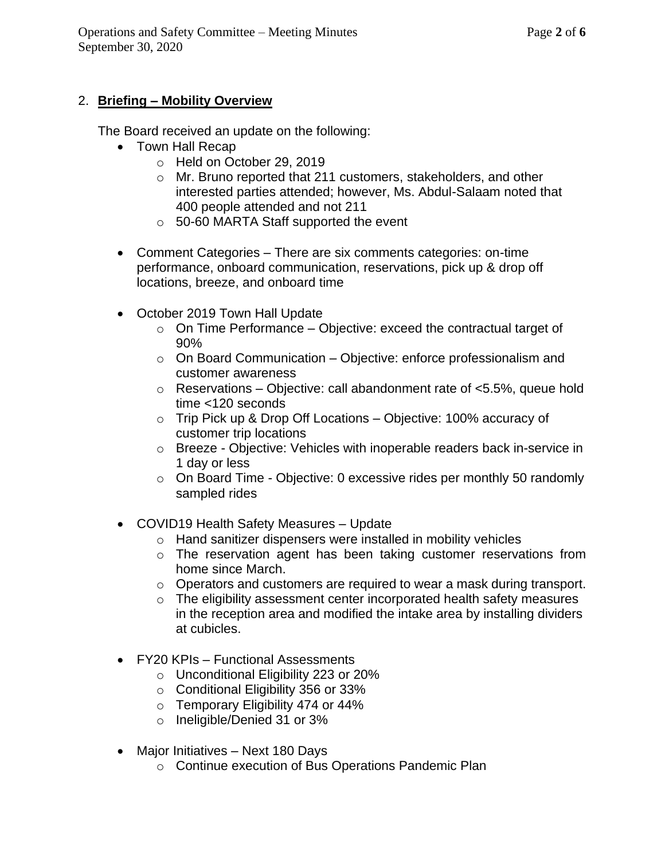# 2. **Briefing – Mobility Overview**

The Board received an update on the following:

- Town Hall Recap
	- o Held on October 29, 2019
	- o Mr. Bruno reported that 211 customers, stakeholders, and other interested parties attended; however, Ms. Abdul-Salaam noted that 400 people attended and not 211
	- o 50-60 MARTA Staff supported the event
- Comment Categories There are six comments categories: on-time performance, onboard communication, reservations, pick up & drop off locations, breeze, and onboard time
- October 2019 Town Hall Update
	- $\circ$  On Time Performance Objective: exceed the contractual target of 90%
	- o On Board Communication Objective: enforce professionalism and customer awareness
	- $\circ$  Reservations Objective: call abandonment rate of <5.5%, queue hold time <120 seconds
	- o Trip Pick up & Drop Off Locations Objective: 100% accuracy of customer trip locations
	- o Breeze Objective: Vehicles with inoperable readers back in-service in 1 day or less
	- o On Board Time Objective: 0 excessive rides per monthly 50 randomly sampled rides
- COVID19 Health Safety Measures Update
	- o Hand sanitizer dispensers were installed in mobility vehicles
	- o The reservation agent has been taking customer reservations from home since March.
	- o Operators and customers are required to wear a mask during transport.
	- o The eligibility assessment center incorporated health safety measures in the reception area and modified the intake area by installing dividers at cubicles.
- FY20 KPIs Functional Assessments
	- o Unconditional Eligibility 223 or 20%
	- o Conditional Eligibility 356 or 33%
	- $\circ$  Temporary Eligibility 474 or 44%
	- o Ineligible/Denied 31 or 3%
- Major Initiatives Next 180 Days
	- o Continue execution of Bus Operations Pandemic Plan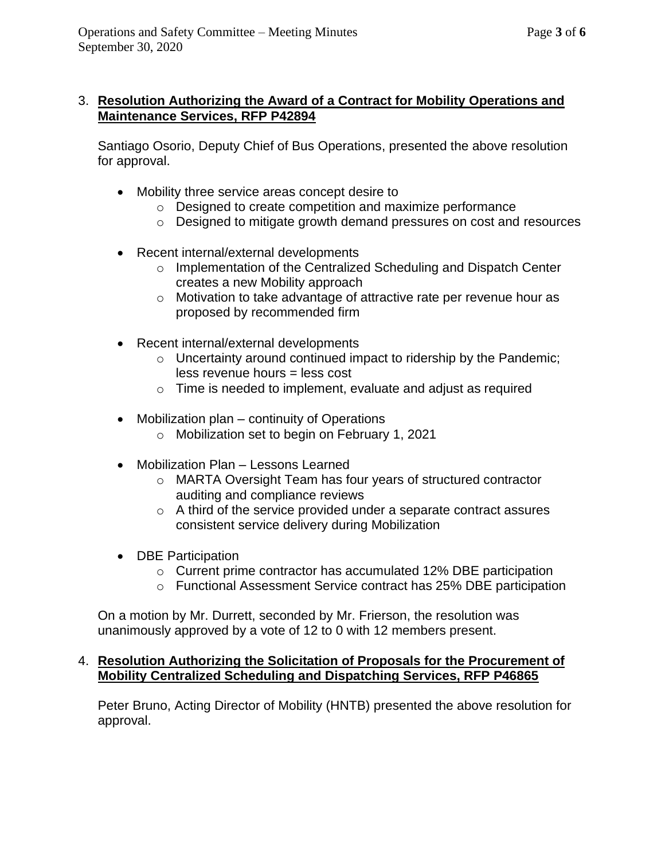# 3. **Resolution Authorizing the Award of a Contract for Mobility Operations and Maintenance Services, RFP P42894**

Santiago Osorio, Deputy Chief of Bus Operations, presented the above resolution for approval.

- Mobility three service areas concept desire to
	- o Designed to create competition and maximize performance
	- o Designed to mitigate growth demand pressures on cost and resources
- Recent internal/external developments
	- o Implementation of the Centralized Scheduling and Dispatch Center creates a new Mobility approach
	- o Motivation to take advantage of attractive rate per revenue hour as proposed by recommended firm
- Recent internal/external developments
	- o Uncertainty around continued impact to ridership by the Pandemic; less revenue hours = less cost
	- o Time is needed to implement, evaluate and adjust as required
- Mobilization plan continuity of Operations
	- o Mobilization set to begin on February 1, 2021
- Mobilization Plan Lessons Learned
	- o MARTA Oversight Team has four years of structured contractor auditing and compliance reviews
	- $\circ$  A third of the service provided under a separate contract assures consistent service delivery during Mobilization
- DBE Participation
	- o Current prime contractor has accumulated 12% DBE participation
	- o Functional Assessment Service contract has 25% DBE participation

On a motion by Mr. Durrett, seconded by Mr. Frierson, the resolution was unanimously approved by a vote of 12 to 0 with 12 members present.

# 4. **Resolution Authorizing the Solicitation of Proposals for the Procurement of Mobility Centralized Scheduling and Dispatching Services, RFP P46865**

Peter Bruno, Acting Director of Mobility (HNTB) presented the above resolution for approval.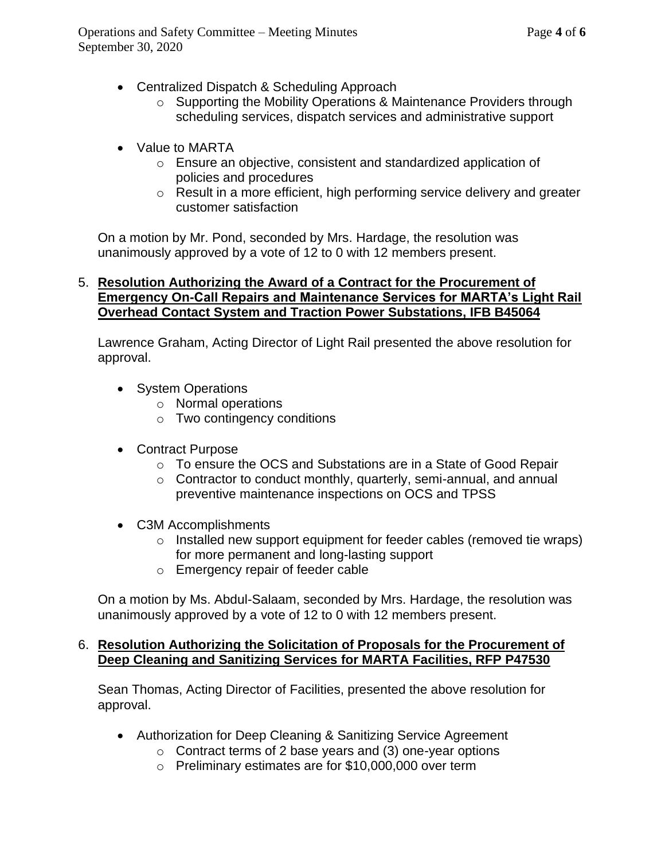- Centralized Dispatch & Scheduling Approach
	- o Supporting the Mobility Operations & Maintenance Providers through scheduling services, dispatch services and administrative support
- Value to MARTA
	- o Ensure an objective, consistent and standardized application of policies and procedures
	- o Result in a more efficient, high performing service delivery and greater customer satisfaction

On a motion by Mr. Pond, seconded by Mrs. Hardage, the resolution was unanimously approved by a vote of 12 to 0 with 12 members present.

# 5. **Resolution Authorizing the Award of a Contract for the Procurement of Emergency On-Call Repairs and Maintenance Services for MARTA's Light Rail Overhead Contact System and Traction Power Substations, IFB B45064**

Lawrence Graham, Acting Director of Light Rail presented the above resolution for approval.

- System Operations
	- o Normal operations
	- o Two contingency conditions
- Contract Purpose
	- o To ensure the OCS and Substations are in a State of Good Repair
	- o Contractor to conduct monthly, quarterly, semi-annual, and annual preventive maintenance inspections on OCS and TPSS
- C3M Accomplishments
	- o Installed new support equipment for feeder cables (removed tie wraps) for more permanent and long-lasting support
	- o Emergency repair of feeder cable

On a motion by Ms. Abdul-Salaam, seconded by Mrs. Hardage, the resolution was unanimously approved by a vote of 12 to 0 with 12 members present.

# 6. **Resolution Authorizing the Solicitation of Proposals for the Procurement of Deep Cleaning and Sanitizing Services for MARTA Facilities, RFP P47530**

Sean Thomas, Acting Director of Facilities, presented the above resolution for approval.

- Authorization for Deep Cleaning & Sanitizing Service Agreement
	- $\circ$  Contract terms of 2 base years and (3) one-year options
	- o Preliminary estimates are for \$10,000,000 over term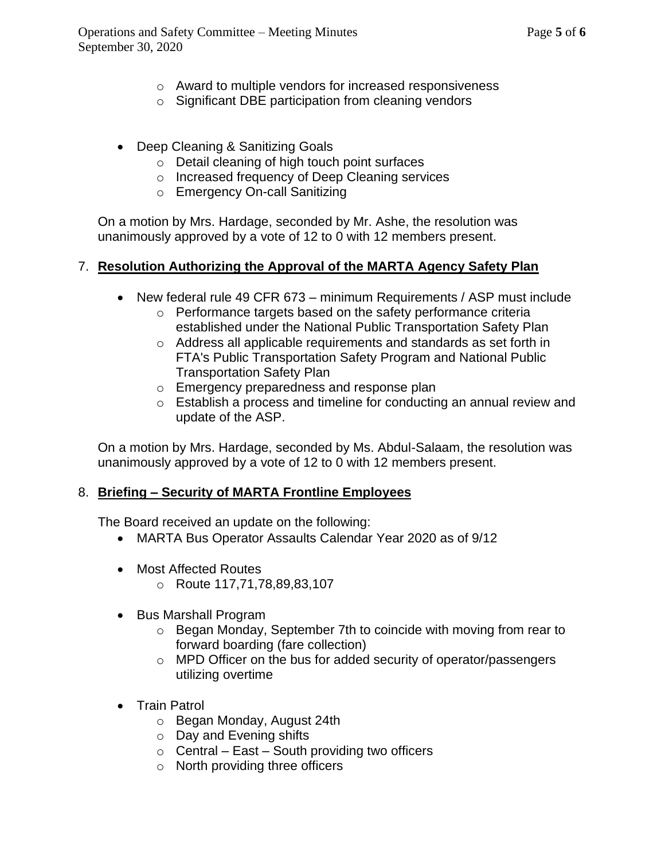- o Award to multiple vendors for increased responsiveness
- o Significant DBE participation from cleaning vendors
- Deep Cleaning & Sanitizing Goals
	- o Detail cleaning of high touch point surfaces
	- o Increased frequency of Deep Cleaning services
	- o Emergency On-call Sanitizing

On a motion by Mrs. Hardage, seconded by Mr. Ashe, the resolution was unanimously approved by a vote of 12 to 0 with 12 members present.

# 7. **Resolution Authorizing the Approval of the MARTA Agency Safety Plan**

- New federal rule 49 CFR 673 minimum Requirements / ASP must include
	- o Performance targets based on the safety performance criteria established under the National Public Transportation Safety Plan
	- o Address all applicable requirements and standards as set forth in FTA's Public Transportation Safety Program and National Public Transportation Safety Plan
	- o Emergency preparedness and response plan
	- o Establish a process and timeline for conducting an annual review and update of the ASP.

On a motion by Mrs. Hardage, seconded by Ms. Abdul-Salaam, the resolution was unanimously approved by a vote of 12 to 0 with 12 members present.

# 8. **Briefing – Security of MARTA Frontline Employees**

The Board received an update on the following:

- MARTA Bus Operator Assaults Calendar Year 2020 as of 9/12
- Most Affected Routes
	- o Route 117,71,78,89,83,107
- Bus Marshall Program
	- o Began Monday, September 7th to coincide with moving from rear to forward boarding (fare collection)
	- o MPD Officer on the bus for added security of operator/passengers utilizing overtime
- Train Patrol
	- o Began Monday, August 24th
	- o Day and Evening shifts
	- $\circ$  Central East South providing two officers
	- o North providing three officers